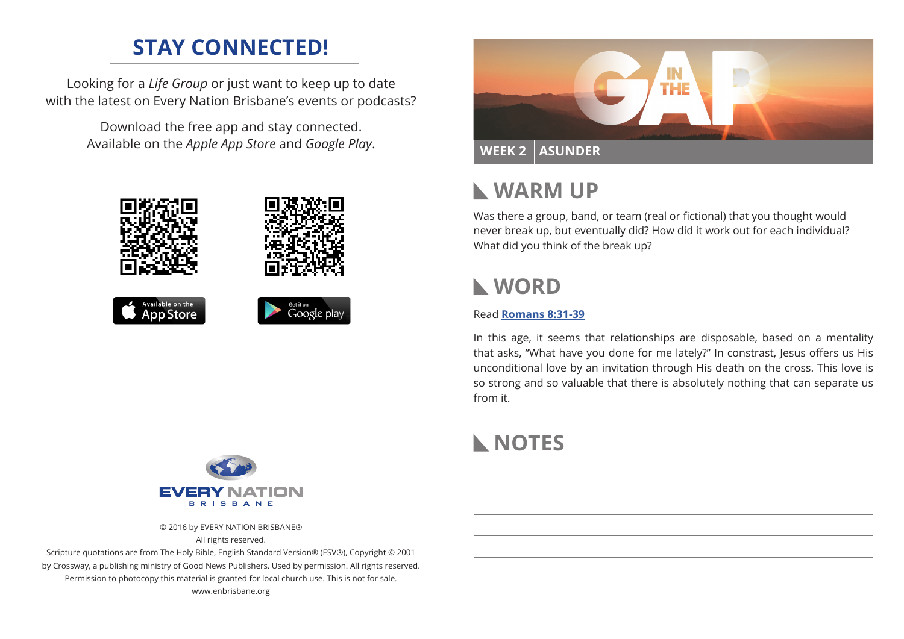# **STAY CONNECTED!**

Looking for a *Life Group* or just want to keep up to date with the latest on Every Nation Brisbane's events or podcasts?

> Download the free app and stay connected. Available on the *Apple App Store* and *Google Play*.





# **WARM UP**

Was there a group, band, or team (real or fictional) that you thought would never break up, but eventually did? How did it work out for each individual? What did you think of the break up?

# **WORD**

### Read **[Romans 8:31-39](https://www.biblegateway.com/passage/?search=Romans+8%3A31-39&version=ESV)**

In this age, it seems that relationships are disposable, based on a mentality that asks, "What have you done for me lately?" In constrast, Jesus offers us His unconditional love by an invitation through His death on the cross. This love is so strong and so valuable that there is absolutely nothing that can separate us from it.

# **NOTES**



© 2016 by EVERY NATION BRISBANE® All rights reserved.

Scripture quotations are from The Holy Bible, English Standard Version® (ESV®), Copyright © 2001 by Crossway, a publishing ministry of Good News Publishers. Used by permission. All rights reserved. Permission to photocopy this material is granted for local church use. This is not for sale. www.enbrisbane.org